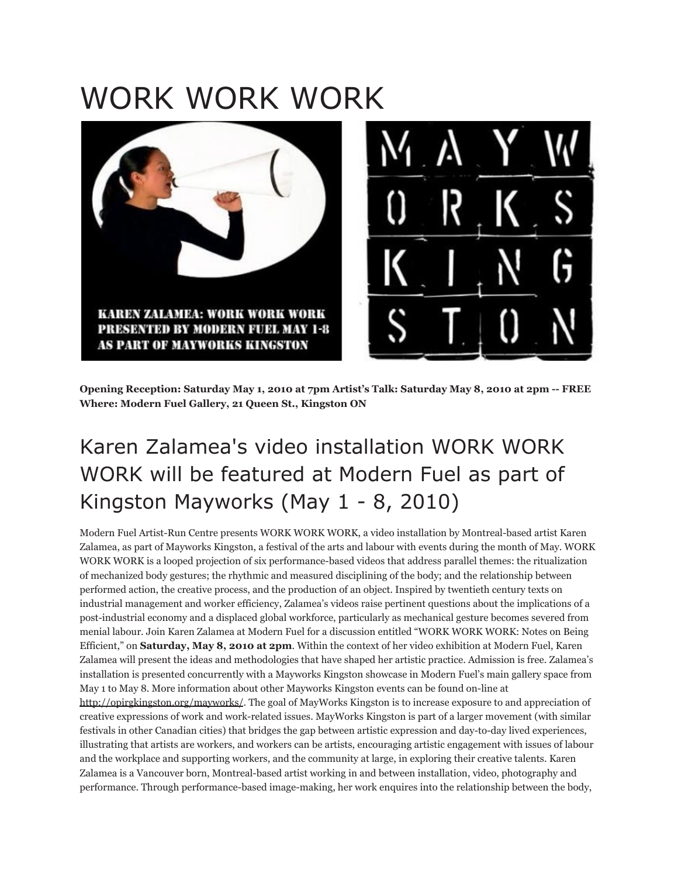## WORK WORK WORK



**Opening Reception: Saturday May 1, 2010 at 7pm Artist's Talk: Saturday May 8, 2010 at 2pm -- FREE Where: Modern Fuel Gallery, 21 Queen St., Kingston ON**

## Karen Zalamea's video installation WORK WORK WORK will be featured at Modern Fuel as part of Kingston Mayworks (May 1 - 8, 2010)

Modern Fuel Artist-Run Centre presents WORK WORK WORK, a video installation by Montreal-based artist Karen Zalamea, as part of Mayworks Kingston, a festival of the arts and labour with events during the month of May. WORK WORK WORK is a looped projection of six performance-based videos that address parallel themes: the ritualization of mechanized body gestures; the rhythmic and measured disciplining of the body; and the relationship between performed action, the creative process, and the production of an object. Inspired by twentieth century texts on industrial management and worker efficiency, Zalamea's videos raise pertinent questions about the implications of a post-industrial economy and a displaced global workforce, particularly as mechanical gesture becomes severed from menial labour. Join Karen Zalamea at Modern Fuel for a discussion entitled "WORK WORK WORK: Notes on Being Efficient," on **Saturday, May 8, 2010 at 2pm**. Within the context of her video exhibition at Modern Fuel, Karen Zalamea will present the ideas and methodologies that have shaped her artistic practice. Admission is free. Zalamea's installation is presented concurrently with a Mayworks Kingston showcase in Modern Fuel's main gallery space from May 1 to May 8. More information about other Mayworks Kingston events can be found on-line at <http://opirgkingston.org/mayworks/>. The goal of MayWorks Kingston is to increase exposure to and appreciation of creative expressions of work and work-related issues. MayWorks Kingston is part of a larger movement (with similar festivals in other Canadian cities) that bridges the gap between artistic expression and day-to-day lived experiences, illustrating that artists are workers, and workers can be artists, encouraging artistic engagement with issues of labour and the workplace and supporting workers, and the community at large, in exploring their creative talents. Karen Zalamea is a Vancouver born, Montreal-based artist working in and between installation, video, photography and performance. Through performance-based image-making, her work enquires into the relationship between the body,